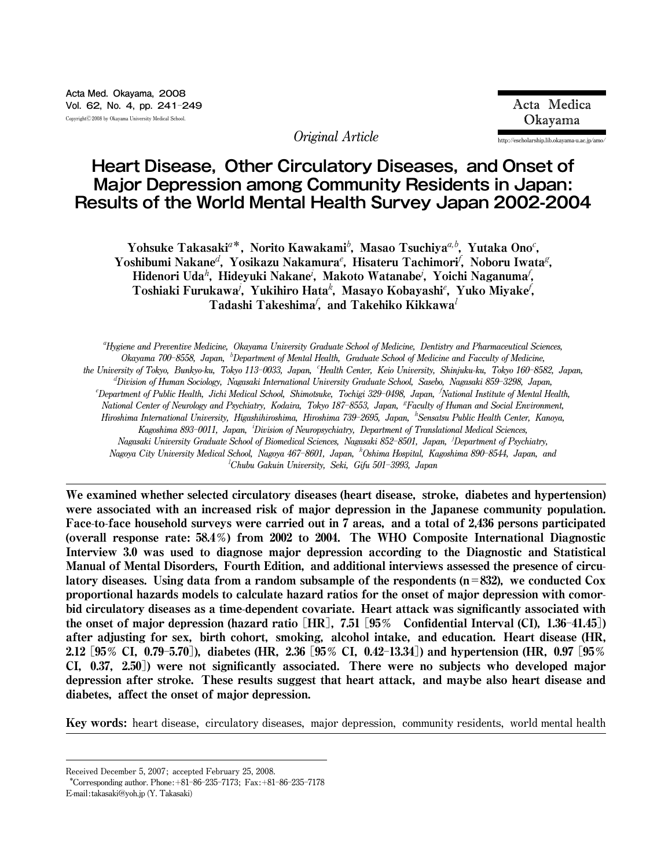**Original Article http:**//**escholarship.lib.okayama**-**u.ac.jp**/**amo**/

# **Heart Disease, Other Circulatory Diseases, and Onset of Major Depression among Community Residents in Japan: Results of the World Mental Health Survey Japan 2002-2004**

Yohsuke Takasaki<sup>a\*</sup>, Norito Kawakami<sup>b</sup>, Masao Tsuchiya<sup>a,b</sup>, Yutaka Ono<sup>c</sup>, Yoshibumi Nakane<sup>d</sup>, Yosikazu Nakamura<sup>e</sup>, Hisateru Tachimori<sup>f</sup>, Noboru Iwata<sup>g</sup>, Hidenori Uda<sup>h</sup>, Hideyuki Nakane<sup>i</sup>, Makoto Watanabe<sup>j</sup>, Yoichi Naganuma<sup>f</sup>, Toshiaki Furukawa<sup>j</sup>, Yukihiro Hata<sup>k</sup>, Masayo Kobayashi<sup>e</sup>, Yuko Miyake<sup>f</sup>, Tadashi Takeshima $^f$ , and Takehiko Kikkawa $^l$ 

a **Hygiene and Preventive Medicine, Okayama University Graduate School of Medicine, Dentistry and Pharmaceutical Sciences, Okayama 700**ン**8558, Japan,** <sup>b</sup> **Department of Mental Health, Graduate School of Medicine and Facculty of Medicine,** the University of Tokyo, Bunkyo-ku, Tokyo 113-0033, Japan, 'Health Center, Keio University, Shinjuku-ku, Tokyo 160-8582, Japan, d **Division of Human Sociology, Nagasaki International University Graduate School, Sasebo, Nagasaki 859**ン**3298, Japan,** <sup>e</sup>Department of Public Health, Jichi Medical School, Shimotsuke, Tochigi 329–0498, Japan, <sup>T</sup>National Institute of Mental Health, National Center of Neurology and Psychiatry, Kodaira, Tokyo 187–8553, Japan, <sup>g</sup>Faculty of Human and Social Environment, **Hiroshima International University, Higashihiroshima, Hiroshima 739**ン**2695, Japan,** <sup>h</sup> **Sensatsu Public Health Center, Kanoya, Kagoshima 893**ン**0011, Japan,** <sup>i</sup> **Division of Neuropsychiatry, Department of Translational Medical Sciences, Nagasaki University Graduate School of Biomedical Sciences, Nagasaki 852**ン**8501, Japan,** <sup>j</sup> **Department of Psychiatry, Nagoya City University Medical School, Nagoya 467**ン**8601, Japan,** <sup>k</sup> **Oshima Hospital, Kagoshima 890**ン**8544, Japan, and** l **Chubu Gakuin University, Seki, Gifu 501**ン**3993, Japan**

We examined whether selected circulatory diseases (heart disease, stroke, diabetes and hypertension) were associated with an increased risk of major depression in the Japanese community population. Face-to-face household surveys were carried out in 7 areas, and a total of 2,436 persons participated (overall response rate: 58.4オ) from 2002 to 2004. The WHO Composite International Diagnostic Interview 3.0 was used to diagnose major depression according to the Diagnostic and Statistical Manual of Mental Disorders, Fourth Edition, and additional interviews assessed the presence of circulatory diseases. Using data from a random subsample of the respondents  $(n=832)$ , we conducted Cox proportional hazards models to calculate hazard ratios for the onset of major depression with comorbid circulatory diseases as a time-dependent covariate. Heart attack was significantly associated with the onset of major depression (hazard ratio  $[HR]$ , 7.51 [95% Confidential Interval (CI), 1.36-41.45]) after adjusting for sex, birth cohort, smoking, alcohol intake, and education. Heart disease (HR, 2.12 [ $95\%$  CI, 0.79–5.70]), diabetes (HR, 2.36 [ $95\%$  CI, 0.42–13.34]) and hypertension (HR, 0.97 [ $95\%$ CI, 0.37, 2.50]) were not significantly associated. There were no subjects who developed major depression after stroke. These results suggest that heart attack, and maybe also heart disease and diabetes, affect the onset of major depression.

Key words: **heart disease, circulatory diseases, major depression, community residents, world mental health**

**E**-**mail:takasaki@yoh.jp (Y. Takasaki)**

**Received December 5, 2007; accepted February 25, 2008.**

**<sup>\*</sup>Corresponding author. Phone:**+**81**ン**86**ン**235**ン**7173; Fax:**+**81**ン**86**ン**235**ン**7178**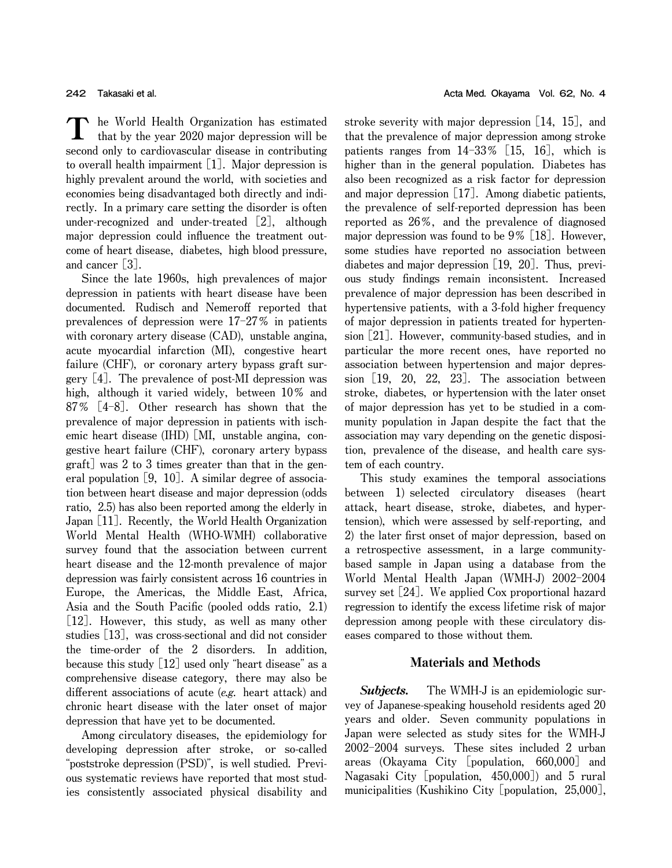**he World Health Organization has estimated** T **that by the year 2020 major depression will be second only to cardiovascular disease in contributing to overall health impairment** [**1**]**. Major depression is highly prevalent around the world, with societies and economies being disadvantaged both directly and indirectly. In a primary care setting the disorder is often under**-**recognized and under**-**treated** [**2**]**, although major depression could influence the treatment outcome of heart disease, diabetes, high blood pressure, and cancer** [**3**]**.**

**Since the late 1960s, high prevalences of major depression in patients with heart disease have been documented. Rudisch and Nemeroff reported that prevalences of depression were 17**ン**27**オ **in patients with coronary artery disease (CAD), unstable angina, acute myocardial infarction (MI), congestive heart failure (CHF), or coronary artery bypass graft surgery** [**4**]**. The prevalence of post**-**MI depression was high,** although it varied widely, between  $10\%$  and **87**オ [**4**ン**8**]**. Other research has shown that the prevalence of major depression in patients with ischemic heart disease (IHD)** [**MI, unstable angina, congestive heart failure (CHF), coronary artery bypass graft**] **was 2 to 3 times greater than that in the general population** [**9, 10**]**. A similar degree of association between heart disease and major depression (odds ratio, 2.5) has also been reported among the elderly in Japan** [**11**]**. Recently, the World Health Organization World Mental Health (WHO**-**WMH) collaborative survey found that the association between current heart disease and the 12**-**month prevalence of major depression was fairly consistent across 16 countries in Europe, the Americas, the Middle East, Africa, Asia and the South Pacific (pooled odds ratio, 2.1)** [**12**]**. However, this study, as well as many other studies** [**13**]**, was cross**-**sectional and did not consider the time**-**order of the 2 disorders. In addition, because this study** [**12**] **used only** "**heart disease**" **as a comprehensive disease category, there may also be different associations of acute (e.g. heart attack) and chronic heart disease with the later onset of major depression that have yet to be documented.**

**Among circulatory diseases, the epidemiology for developing depression after stroke, or so**-**called** "**poststroke depression (PSD)**"**, is well studied. Previous systematic reviews have reported that most studies consistently associated physical disability and** **stroke severity with major depression** [**14, 15**]**, and that the prevalence of major depression among stroke patients ranges from 14**ン**33**オ [**15, 16**]**, which is higher than in the general population. Diabetes has also been recognized as a risk factor for depression and major depression** [**17**]**. Among diabetic patients, the prevalence of self**-**reported depression has been reported as 26**オ**, and the prevalence of diagnosed major depression was found to be 9**オ [**18**]**. However, some studies have reported no association between diabetes and major depression** [**19, 20**]**. Thus, previous study findings remain inconsistent. Increased prevalence of major depression has been described in hypertensive patients, with a 3**-**fold higher frequency of major depression in patients treated for hypertension** [**21**]**. However, community**-**based studies, and in particular the more recent ones, have reported no association between hypertension and major depression** [**19, 20, 22, 23**]**. The association between stroke, diabetes, or hypertension with the later onset of major depression has yet to be studied in a community population in Japan despite the fact that the association may vary depending on the genetic disposition, prevalence of the disease, and health care system of each country.**

**This study examines the temporal associations between 1) selected circulatory diseases (heart attack, heart disease, stroke, diabetes, and hypertension), which were assessed by self**-**reporting, and 2) the later first onset of major depression, based on a retrospective assessment, in a large communitybased sample in Japan using a database from the World Mental Health Japan (WMH-J)** 2002-2004 **survey set** [**24**]**. We applied Cox proportional hazard regression to identify the excess lifetime risk of major depression among people with these circulatory diseases compared to those without them.**

### Materials and Methods

Subjects. **The WMH**-**J is an epidemiologic survey of Japanese**-**speaking household residents aged 20 years and older. Seven community populations in Japan were selected as study sites for the WMH**-**J 2002**ン**2004 surveys. These sites included 2 urban areas (Okayama City** [**population, 660,000**] **and Nagasaki City** [**population, 450,000**]**) and 5 rural municipalities (Kushikino City** [**population, 25,000**]**,**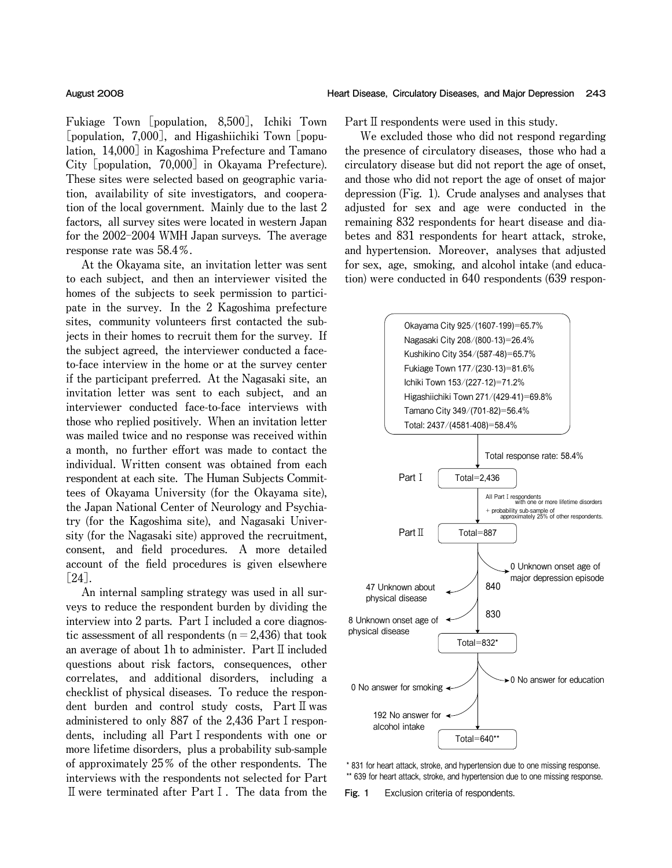**Fukiage Town** [**population, 8,500**]**, Ichiki Town** [**population, 7,000**]**, and Higashiichiki Town** [**population, 14,000**] **in Kagoshima Prefecture and Tamano City** [**population, 70,000**] **in Okayama Prefecture). These sites were selected based on geographic variation, availability of site investigators, and cooperation of the local government. Mainly due to the last 2 factors, all survey sites were located in western Japan for the 2002**ン**2004 WMH Japan surveys. The average response rate was 58.4**オ**.**

**At the Okayama site, an invitation letter was sent to each subject, and then an interviewer visited the homes of the subjects to seek permission to participate in the survey. In the 2 Kagoshima prefecture sites, community volunteers first contacted the subjects in their homes to recruit them for the survey. If the subject agreed, the interviewer conducted a faceto**-**face interview in the home or at the survey center if the participant preferred. At the Nagasaki site, an invitation letter was sent to each subject, and an interviewer conducted face**-**to**-**face interviews with those who replied positively. When an invitation letter was mailed twice and no response was received within a month, no further effort was made to contact the individual. Written consent was obtained from each respondent at each site. The Human Subjects Committees of Okayama University (for the Okayama site), the Japan National Center of Neurology and Psychiatry (for the Kagoshima site), and Nagasaki University (for the Nagasaki site) approved the recruitment, consent, and field procedures. A more detailed account of the field procedures is given elsewhere** [**24**]**.**

**An internal sampling strategy was used in all surveys to reduce the respondent burden by dividing the interview into 2 parts. Part**Ⅰ**included a core diagnostic assessment of all respondents (n**=**2,436) that took an average of about 1h to administer. Part**Ⅱ**included questions about risk factors, consequences, other correlates, and additional disorders, including a checklist of physical diseases. To reduce the respondent burden and control study costs, Part**Ⅱ**was administered to only 887 of the 2,436 Part**Ⅰ**respondents, including all Part**Ⅰ**respondents with one or more lifetime disorders, plus a probability sub**-**sample of approximately 25**オ **of the other respondents. The interviews with the respondents not selected for Part** Ⅱ**were terminated after Part**Ⅰ**. The data from the**

**Part**Ⅱ**respondents were used in this study.**

**We excluded those who did not respond regarding the presence of circulatory diseases, those who had a circulatory disease but did not report the age of onset, and those who did not report the age of onset of major depression (Fig. 1). Crude analyses and analyses that adjusted for sex and age were conducted in the remaining 832 respondents for heart disease and diabetes and 831 respondents for heart attack, stroke, and hypertension. Moreover, analyses that adjusted for sex, age, smoking, and alcohol intake (and education) were conducted in 640 respondents (639 respon**-



\* 831 for heart attack, stroke, and hypertension due to one missing response. \*\* 639 for heart attack, stroke, and hypertension due to one missing response.

**Fig. 1** Exclusion criteria of respondents.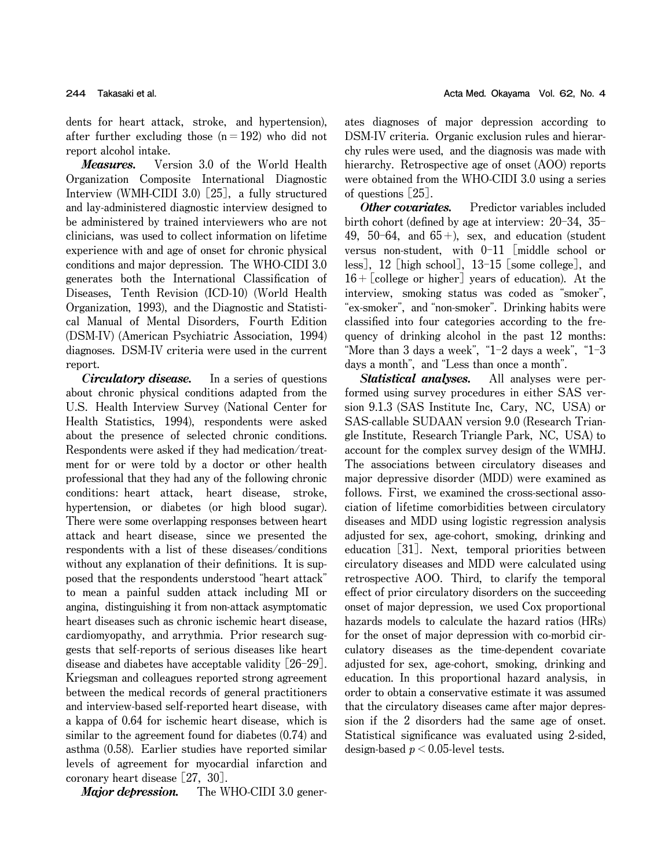**dents for heart attack, stroke, and hypertension), after further excluding those (n**=**192) who did not report alcohol intake.**

Measures. **Version 3.0 of the World Health Organization Composite International Diagnostic Interview (WMH**-**CIDI 3.0)** [**25**]**, a fully structured and lay**-**administered diagnostic interview designed to be administered by trained interviewers who are not clinicians, was used to collect information on lifetime experience with and age of onset for chronic physical conditions and major depression. The WHO**-**CIDI 3.0 generates both the International Classification of Diseases, Tenth Revision (ICD**-**10) (World Health Organization, 1993), and the Diagnostic and Statistical Manual of Mental Disorders, Fourth Edition (DSM**-**IV) (American Psychiatric Association, 1994) diagnoses. DSM**-**IV criteria were used in the current report.**

Circulatory disease. **In a series of questions about chronic physical conditions adapted from the U.S. Health Interview Survey (National Center for Health Statistics, 1994), respondents were asked about the presence of selected chronic conditions. Respondents were asked if they had medication**/**treatment for or were told by a doctor or other health professional that they had any of the following chronic conditions: heart attack, heart disease, stroke, hypertension, or diabetes (or high blood sugar). There were some overlapping responses between heart attack and heart disease, since we presented the respondents with a list of these diseases**/**conditions without any explanation of their definitions. It is supposed that the respondents understood** "**heart attack**" **to mean a painful sudden attack including MI or angina, distinguishing it from non**-**attack asymptomatic heart diseases such as chronic ischemic heart disease, cardiomyopathy, and arrythmia. Prior research suggests that self**-**reports of serious diseases like heart disease and diabetes have acceptable validity** [**26**ン**29**]**. Kriegsman and colleagues reported strong agreement between the medical records of general practitioners and interview**-**based self**-**reported heart disease, with a kappa of 0.64 for ischemic heart disease, which is similar to the agreement found for diabetes (0.74) and asthma (0.58). Earlier studies have reported similar levels of agreement for myocardial infarction and coronary heart disease** [**27, 30**]**.**

Major depression. **The WHO**-**CIDI 3.0 gener**-

**ates diagnoses of major depression according to DSM**-**IV criteria. Organic exclusion rules and hierarchy rules were used, and the diagnosis was made with hierarchy. Retrospective age of onset (AOO) reports were obtained from the WHO**-**CIDI 3.0 using a series of questions** [**25**]**.**

Other covariates. **Predictor variables included birth cohort (defined by age at interview: 20**ン**34, 35**ン **49, 50**ン**64, and 65**+**), sex, and education (student versus non**-**student, with 0**ン**11** [**middle school or less**]**, 12** [**high school**]**, 13**ン**15** [**some college**]**, and 16**+[**college or higher**] **years of education). At the interview, smoking status was coded as** "**smoker**"**,** "**ex**-**smoker**"**, and** "**non**-**smoker**"**. Drinking habits were classified into four categories according to the frequency of drinking alcohol in the past 12 months:** "**More than 3 days a week**"**,** "**1**ン**2 days a week**"**,** "**1**ン**3 days a month**"**, and** "**Less than once a month**"**.**

Statistical analyses. **All analyses were performed using survey procedures in either SAS version 9.1.3 (SAS Institute Inc, Cary, NC, USA) or SAS**-**callable SUDAAN version 9.0 (Research Triangle Institute, Research Triangle Park, NC, USA) to account for the complex survey design of the WMHJ. The associations between circulatory diseases and major depressive disorder (MDD) were examined as follows. First, we examined the cross**-**sectional association of lifetime comorbidities between circulatory diseases and MDD using logistic regression analysis adjusted for sex, age**-**cohort, smoking, drinking and education** [**31**]**. Next, temporal priorities between circulatory diseases and MDD were calculated using retrospective AOO. Third, to clarify the temporal effect of prior circulatory disorders on the succeeding onset of major depression, we used Cox proportional hazards models to calculate the hazard ratios (HRs) for the onset of major depression with co**-**morbid circulatory diseases as the time**-**dependent covariate adjusted for sex, age**-**cohort, smoking, drinking and education. In this proportional hazard analysis, in order to obtain a conservative estimate it was assumed that the circulatory diseases came after major depression if the 2 disorders had the same age of onset. Statistical significance was evaluated using 2**-**sided, design**-**based p**<**0.05**-**level tests.**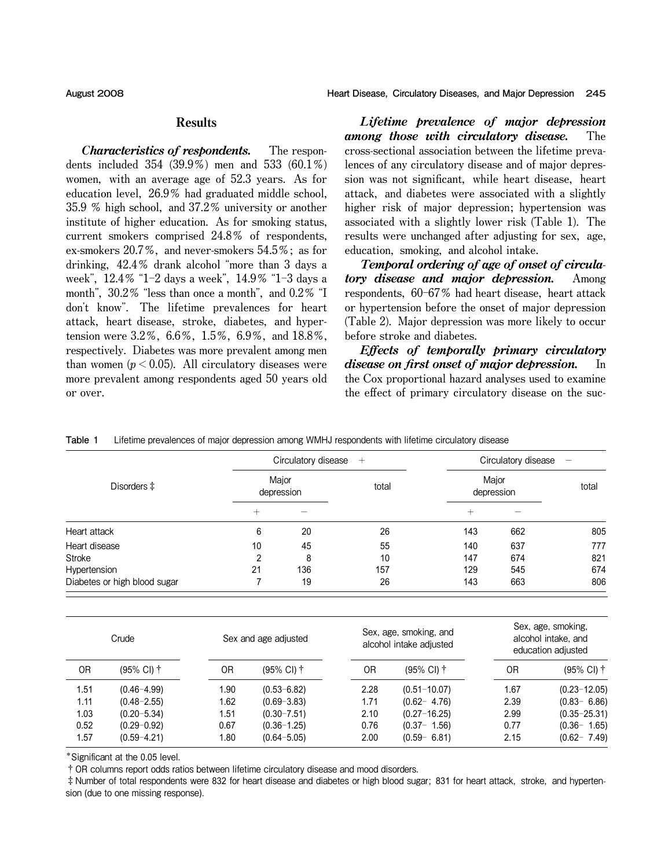# **Results**

Characteristics of respondents. **The respondents included 354 (39.9**オ**) men and 533 (60.1**オ**) women, with an average age of 52.3 years. As for education level, 26.9**オ **had graduated middle school, 35.9** オ **high school, and 37.2**オ **university or another institute of higher education. As for smoking status, current smokers comprised 24.8**オ **of respondents, ex**-**smokers 20.7**オ**, and never**-**smokers 54.5**オ**; as for drinking, 42.4**オ **drank alcohol** "**more than 3 days a week**"**, 12.4**オ "**1**ン**2 days a week**"**, 14.9**オ "**1**ン**3 days a month**"**, 30.2**オ "**less than once a month**"**, and 0.2**オ "**I don**'**t know**"**. The lifetime prevalences for heart attack, heart disease, stroke, diabetes, and hypertension were 3.2**オ**, 6.6**オ**, 1.5**オ**, 6.9**オ**, and 18.8**オ**, respectively. Diabetes was more prevalent among men than** women ( $p < 0.05$ ). All circulatory diseases were **more prevalent among respondents aged 50 years old or over.**

Lifetime prevalence of major depression among those with circulatory disease. **The cross**-**sectional association between the lifetime prevalences of any circulatory disease and of major depression was not significant, while heart disease, heart attack, and diabetes were associated with a slightly higher risk of major depression; hypertension was associated with a slightly lower risk (Table 1). The results were unchanged after adjusting for sex, age, education, smoking, and alcohol intake.**

Temporal ordering of age of onset of circulatory disease and major depression. **Among respondents, 60**ン**67**オ **had heart disease, heart attack or hypertension before the onset of major depression (Table 2). Major depression was more likely to occur before stroke and diabetes.**

Effects of temporally primary circulatory disease on first onset of major depression. **In the Cox proportional hazard analyses used to examine the effect of primary circulatory disease on the suc**-

| Table 1 | Lifetime prevalences of major depression among WMHJ respondents with lifetime circulatory disease |  |  |  |  |  |  |
|---------|---------------------------------------------------------------------------------------------------|--|--|--|--|--|--|
|---------|---------------------------------------------------------------------------------------------------|--|--|--|--|--|--|

|                              | Circulatory disease $+$ |     |       | Circulatory disease<br>$\overline{\phantom{m}}$ |     |       |
|------------------------------|-------------------------|-----|-------|-------------------------------------------------|-----|-------|
| Disorders $\ddagger$         | Major<br>depression     |     | total | Major<br>depression                             |     | total |
|                              | $^+$                    |     |       | $^{+}$                                          |     |       |
| Heart attack                 | 6                       | 20  | 26    | 143                                             | 662 | 805   |
| Heart disease                | 10                      | 45  | 55    | 140                                             | 637 | 777   |
| Stroke                       | າ                       | 8   | 10    | 147                                             | 674 | 821   |
| Hypertension                 | 21                      | 136 | 157   | 129                                             | 545 | 674   |
| Diabetes or high blood sugar |                         | 19  | 26    | 143                                             | 663 | 806   |

| Crude |                       | Sex and age adjusted |                 | Sex, age, smoking, and<br>alcohol intake adjusted |                       | Sex, age, smoking,<br>alcohol intake, and<br>education adjusted |                  |
|-------|-----------------------|----------------------|-----------------|---------------------------------------------------|-----------------------|-----------------------------------------------------------------|------------------|
| 0R    | $(95\% \text{ Cl})$ † | 0R                   | (95% CI) †      | 0R                                                | $(95\% \text{ Cl})$ † | 0R                                                              | (95% CI) †       |
| 1.51  | $(0.46 - 4.99)$       | 1.90                 | $(0.53 - 6.82)$ | 2.28                                              | $(0.51 - 10.07)$      | 1.67                                                            | $(0.23 - 12.05)$ |
| 1.11  | $(0.48 - 2.55)$       | 1.62                 | $(0.69 - 3.83)$ | 1.71                                              | $(0.62 - 4.76)$       | 2.39                                                            | $(0.83 - 6.86)$  |
| 1.03  | $(0.20 - 5.34)$       | 1.51                 | $(0.30 - 7.51)$ | 2.10                                              | $(0.27 - 16.25)$      | 2.99                                                            | $(0.35 - 25.31)$ |
| 0.52  | $(0.29 - 0.92)$       | 0.67                 | $(0.36 - 1.25)$ | 0.76                                              | $(0.37 - 1.56)$       | 0.77                                                            | $(0.36 - 1.65)$  |
| 1.57  | $(0.59 - 4.21)$       | 1.80                 | $(0.64 - 5.05)$ | 2.00                                              | $(0.59 - 6.81)$       | 2.15                                                            | $(0.62 - 7.49)$  |

\*Significant at the 0.05 level.

**†**OR columns report odds ratios between lifetime circulatory disease and mood disorders.

**‡**Number of total respondents were 832 for heart disease and diabetes or high blood sugar; 831 for heart attack, stroke, and hypertension (due to one missing response).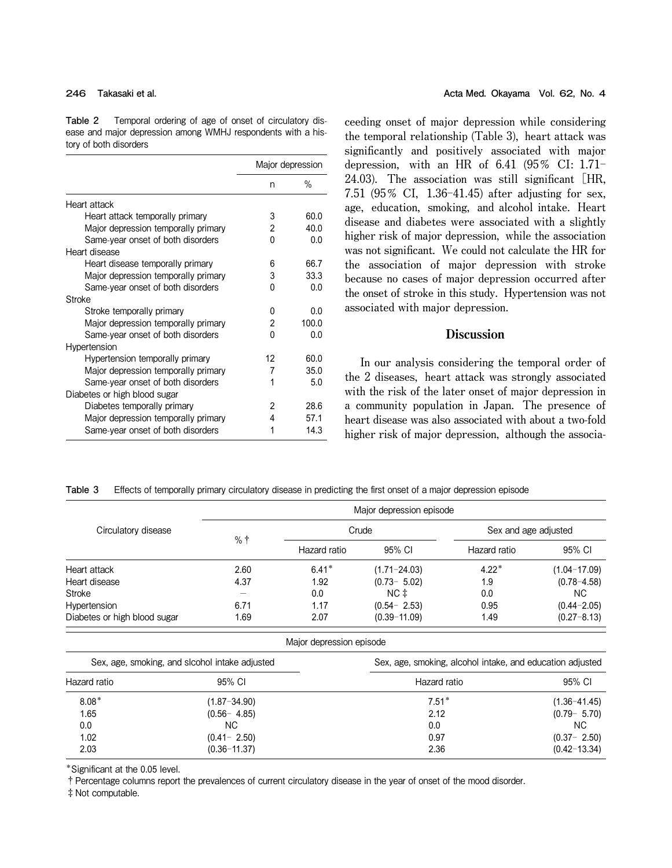**Table 2** Temporal ordering of age of onset of circulatory disease and major depression among WMHJ respondents with a history of both disorders

|                                     |    | Major depression |
|-------------------------------------|----|------------------|
|                                     | n  | %                |
| Heart attack                        |    |                  |
| Heart attack temporally primary     | 3  | 60.0             |
| Major depression temporally primary | 2  | 40.0             |
| Same-year onset of both disorders   | 0  | 0.0              |
| Heart disease                       |    |                  |
| Heart disease temporally primary    | 6  | 66.7             |
| Major depression temporally primary | 3  | 33.3             |
| Same-year onset of both disorders   | 0  | 0.0              |
| Stroke                              |    |                  |
| Stroke temporally primary           | 0  | 0.0              |
| Major depression temporally primary | 2  | 100.0            |
| Same-year onset of both disorders   | U  | 0.0              |
| Hypertension                        |    |                  |
| Hypertension temporally primary     | 12 | 60.0             |
| Major depression temporally primary | 7  | 35.0             |
| Same-year onset of both disorders   | 1  | 5.0              |
| Diabetes or high blood sugar        |    |                  |
| Diabetes temporally primary         | 2  | 28.6             |
| Major depression temporally primary | 4  | 57.1             |
| Same-year onset of both disorders   | 1  | 14.3             |

**ceeding onset of major depression while considering the temporal relationship (Table 3), heart attack was significantly and positively associated with major depression, with an HR of 6.41 (95**オ **CI: 1.71**ン **24.03). The association was still significant** [**HR, 7.51 (95**オ **CI, 1.36**ン**41.45) after adjusting for sex, age, education, smoking, and alcohol intake. Heart disease and diabetes were associated with a slightly higher risk of major depression, while the association was not significant. We could not calculate the HR for the association of major depression with stroke because no cases of major depression occurred after the onset of stroke in this study. Hypertension was not associated with major depression.**

# **Discussion**

**In our analysis considering the temporal order of the 2 diseases, heart attack was strongly associated with the risk of the later onset of major depression in a community population in Japan. The presence of heart disease was also associated with about a two**-**fold higher risk of major depression, although the associa**-

**Table 3** Effects of temporally primary circulatory disease in predicting the first onset of a major depression episode

|                              | Major depression episode |              |                  |                      |                  |  |
|------------------------------|--------------------------|--------------|------------------|----------------------|------------------|--|
| Circulatory disease          |                          |              | Crude            | Sex and age adjusted |                  |  |
|                              | %†                       | Hazard ratio | 95% CI           | Hazard ratio         | 95% CI           |  |
| Heart attack                 | 2.60                     | $6.41*$      | $(1.71 - 24.03)$ | $4.22*$              | $(1.04 - 17.09)$ |  |
| Heart disease                | 4.37                     | 1.92         | $(0.73 - 5.02)$  | 1.9                  | $(0.78 - 4.58)$  |  |
| Stroke                       |                          | 0.0          | NC ‡             | 0.0                  | NC.              |  |
| Hypertension                 | 6.71                     | 1.17         | $(0.54 - 2.53)$  | 0.95                 | $(0.44 - 2.05)$  |  |
| Diabetes or high blood sugar | 1.69                     | 2.07         | $(0.39 - 11.09)$ | 1.49                 | $(0.27 - 8.13)$  |  |

Major depression episode

| Sex, age, smoking, and slcohol intake adjusted |                  | Sex, age, smoking, alcohol intake, and education adjusted |                  |  |
|------------------------------------------------|------------------|-----------------------------------------------------------|------------------|--|
| Hazard ratio                                   | 95% CI           | Hazard ratio                                              | 95% CI           |  |
| $8.08*$                                        | $(1.87 - 34.90)$ | $7.51*$                                                   | $(1.36 - 41.45)$ |  |
| 1.65                                           | $(0.56 - 4.85)$  | 2.12                                                      | $(0.79 - 5.70)$  |  |
| 0.0                                            | NC.              | 0.0                                                       | NC.              |  |
| 1.02                                           | $(0.41 - 2.50)$  | 0.97                                                      | $(0.37 - 2.50)$  |  |
| 2.03                                           | $(0.36 - 11.37)$ | 2.36                                                      | $(0.42 - 13.34)$ |  |

\*Significant at the 0.05 level.

**†**Percentage columns report the prevalences of current circulatory disease in the year of onset of the mood disorder.

**‡**Not computable.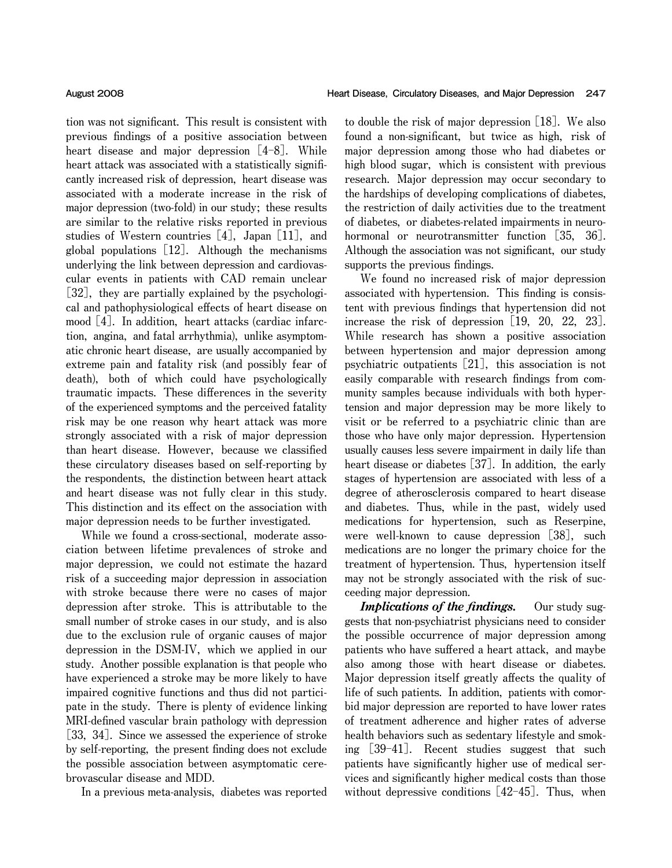**tion was not significant. This result is consistent with previous findings of a positive association between heart disease and major depression** [**4**ン**8**]**. While heart attack was associated with a statistically significantly increased risk of depression, heart disease was associated with a moderate increase in the risk of major depression (two**-**fold) in our study; these results are similar to the relative risks reported in previous studies of Western countries** [**4**]**, Japan** [**11**]**, and global populations** [**12**]**. Although the mechanisms underlying the link between depression and cardiovascular events in patients with CAD remain unclear** [**32**]**, they are partially explained by the psychological and pathophysiological effects of heart disease on mood** [**4**]**. In addition, heart attacks (cardiac infarction, angina, and fatal arrhythmia), unlike asymptomatic chronic heart disease, are usually accompanied by extreme pain and fatality risk (and possibly fear of death), both of which could have psychologically traumatic impacts. These differences in the severity of the experienced symptoms and the perceived fatality risk may be one reason why heart attack was more strongly associated with a risk of major depression than heart disease. However, because we classified these circulatory diseases based on self**-**reporting by the respondents, the distinction between heart attack and heart disease was not fully clear in this study. This distinction and its effect on the association with major depression needs to be further investigated.**

**While we found a cross**-**sectional, moderate association between lifetime prevalences of stroke and major depression, we could not estimate the hazard risk of a succeeding major depression in association with stroke because there were no cases of major depression after stroke. This is attributable to the small number of stroke cases in our study, and is also due to the exclusion rule of organic causes of major depression in the DSM**-**IV, which we applied in our study. Another possible explanation is that people who have experienced a stroke may be more likely to have impaired cognitive functions and thus did not participate in the study. There is plenty of evidence linking MRI**-**defined vascular brain pathology with depression** [**33, 34**]**. Since we assessed the experience of stroke by self**-**reporting, the present finding does not exclude the possible association between asymptomatic cerebrovascular disease and MDD.**

**In a previous meta**-**analysis, diabetes was reported**

**to double the risk of major depression** [**18**]**. We also found a non**-**significant, but twice as high, risk of major depression among those who had diabetes or high blood sugar, which is consistent with previous research. Major depression may occur secondary to the hardships of developing complications of diabetes, the restriction of daily activities due to the treatment of diabetes, or diabetes**-**related impairments in neurohormonal or neurotransmitter function** [**35, 36**]**. Although the association was not significant, our study supports the previous findings.**

**We found no increased risk of major depression associated with hypertension. This finding is consistent with previous findings that hypertension did not increase the risk of depression** [**19, 20, 22, 23**]**. While research has shown a positive association between hypertension and major depression among psychiatric outpatients** [**21**]**, this association is not easily comparable with research findings from community samples because individuals with both hypertension and major depression may be more likely to visit or be referred to a psychiatric clinic than are those who have only major depression. Hypertension usually causes less severe impairment in daily life than heart disease or diabetes** [**37**]**. In addition, the early stages of hypertension are associated with less of a degree of atherosclerosis compared to heart disease and diabetes. Thus, while in the past, widely used medications for hypertension, such as Reserpine, were well**-**known to cause depression** [**38**]**, such medications are no longer the primary choice for the treatment of hypertension. Thus, hypertension itself may not be strongly associated with the risk of succeeding major depression.**

Implications of the findings. **Our study suggests that non**-**psychiatrist physicians need to consider the possible occurrence of major depression among patients who have suffered a heart attack, and maybe also among those with heart disease or diabetes. Major depression itself greatly affects the quality of life of such patients. In addition, patients with comorbid major depression are reported to have lower rates of treatment adherence and higher rates of adverse health behaviors such as sedentary lifestyle and smoking** [**39**ン**41**]**. Recent studies suggest that such patients have significantly higher use of medical services and significantly higher medical costs than those**  $with$ out depressive conditions  $[42-45]$ . Thus, when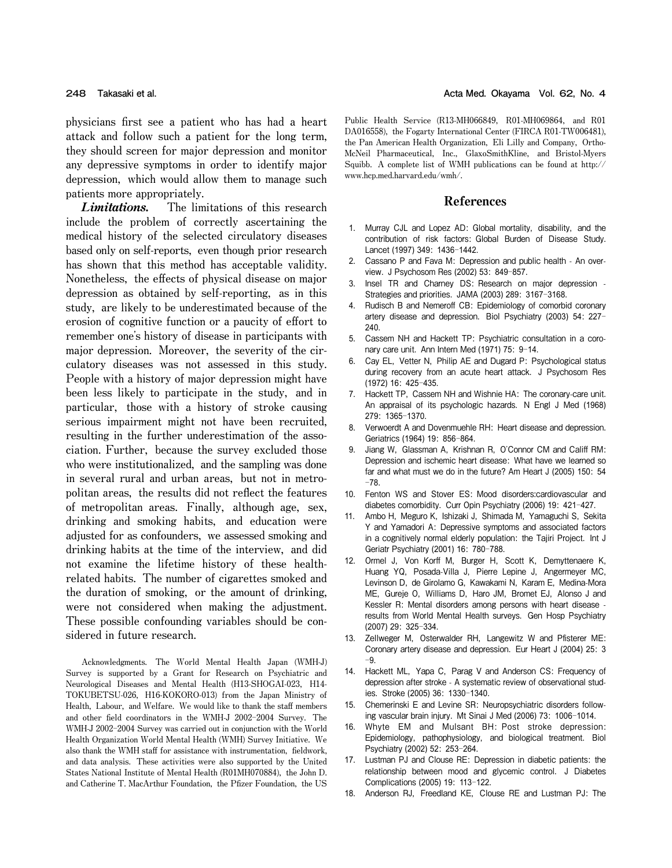**physicians first see a patient who has had a heart attack and follow such a patient for the long term, they should screen for major depression and monitor any depressive symptoms in order to identify major depression, which would allow them to manage such patients more appropriately.**

Limitations. **The limitations of this research include the problem of correctly ascertaining the medical history of the selected circulatory diseases based only on self**-**reports, even though prior research has shown that this method has acceptable validity. Nonetheless, the effects of physical disease on major depression as obtained by self**-**reporting, as in this study, are likely to be underestimated because of the erosion of cognitive function or a paucity of effort to remember one**'**s history of disease in participants with major depression. Moreover, the severity of the circulatory diseases was not assessed in this study. People with a history of major depression might have been less likely to participate in the study, and in particular, those with a history of stroke causing serious impairment might not have been recruited, resulting in the further underestimation of the association. Further, because the survey excluded those who were institutionalized, and the sampling was done in several rural and urban areas, but not in metropolitan areas, the results did not reflect the features of metropolitan areas. Finally, although age, sex, drinking and smoking habits, and education were adjusted for as confounders, we assessed smoking and drinking habits at the time of the interview, and did not examine the lifetime history of these healthrelated habits. The number of cigarettes smoked and the duration of smoking, or the amount of drinking, were not considered when making the adjustment. These possible confounding variables should be considered in future research.**

**Acknowledgments. The World Mental Health Japan (WMH**-**J) Survey is supported by a Grant for Research on Psychiatric and Neurological Diseases and Mental Health (H13**-**SHOGAI**-**023, H14**- **TOKUBETSU**-**026, H16**-**KOKORO**-**013) from the Japan Ministry of Health, Labour, and Welfare. We would like to thank the staff members and other field coordinators in the WMH**-**J 2002**ン**2004 Survey. The WMH**-**J 2002**ン**2004 Survey was carried out in conjunction with the World Health Organization World Mental Health (WMH) Survey Initiative. We also thank the WMH staff for assistance with instrumentation, fieldwork, and data analysis. These activities were also supported by the United States National Institute of Mental Health (R01MH070884), the John D. and Catherine T. MacArthur Foundation, the Pfizer Foundation, the US**

**Public Health Service (R13**-**MH066849, R01**-**MH069864, and R01 DA016558), the Fogarty International Center (FIRCA R01**-**TW006481), the Pan American Health Organization, Eli Lilly and Company, Ortho**-**McNeil Pharmaceutical, Inc., GlaxoSmithKline, and Bristol**-**Myers Squibb. A complete list of WMH publications can be found at http:**// **www.hcp.med.harvard.edu**/**wmh**/**.**

## References

- 1. Murray CJL and Lopez AD: Global mortality, disability, and the contribution of risk factors: Global Burden of Disease Study. Lancet (1997) 349: 1436-1442.
- 2. Cassano P and Fava M: Depression and public health An overview. J Psychosom Res (2002) 53: 849-857.
- 3. Insel TR and Charney DS: Research on major depression Strategies and priorities. JAMA (2003) 289: 3167-3168.
- 4. Rudisch B and Nemeroff CB: Epidemiology of comorbid coronary artery disease and depression. Biol Psychiatry (2003) 54: 227-240.
- 5. Cassem NH and Hackett TP: Psychiatric consultation in a coronary care unit. Ann Intern Med (1971) 75: 9-14.
- 6. Cay EL, Vetter N, Philip AE and Dugard P: Psychological status during recovery from an acute heart attack. J Psychosom Res (1972) 16: 425-435.
- 7. Hackett TP, Cassem NH and Wishnie HA: The coronary-care unit. An appraisal of its psychologic hazards. N Engl J Med (1968) 279: 1365ン1370.
- 8. Verwoerdt A and Dovenmuehle RH: Heart disease and depression. Geriatrics (1964) 19: 856-864.
- 9. Jiang W, Glassman A, Krishnan R, O'Connor CM and Califf RM: Depression and ischemic heart disease: What have we learned so far and what must we do in the future? Am Heart J (2005) 150: 54  $-78.$
- 10. Fenton WS and Stover ES: Mood disorders:cardiovascular and diabetes comorbidity. Curr Opin Psychiatry (2006) 19: 421-427.
- 11. Ambo H, Meguro K, Ishizaki J, Shimada M, Yamaguchi S, Sekita Y and Yamadori A: Depressive symptoms and associated factors in a cognitively normal elderly population: the Tajiri Project. Int J Geriatr Psychiatry (2001) 16: 780-788.
- 12. Ormel J, Von Korff M, Burger H, Scott K, Demyttenaere K, Huang YQ, Posada-Villa J, Pierre Lepine J, Angermeyer MC, Levinson D, de Girolamo G, Kawakami N, Karam E, Medina-Mora ME, Gureje O, Williams D, Haro JM, Bromet EJ, Alonso J and Kessler R: Mental disorders among persons with heart disease results from World Mental Health surveys. Gen Hosp Psychiatry (2007) 29: 325-334.
- 13. Zellweger M, Osterwalder RH, Langewitz W and Pfisterer ME: Coronary artery disease and depression. Eur Heart J (2004) 25: 3  $-9.$
- 14. Hackett ML, Yapa C, Parag V and Anderson CS: Frequency of depression after stroke - A systematic review of observational studies. Stroke (2005) 36: 1330-1340.
- 15. Chemerinski E and Levine SR: Neuropsychiatric disorders following vascular brain injury. Mt Sinai J Med (2006) 73: 1006-1014.
- 16. Whyte EM and Mulsant BH: Post stroke depression: Epidemiology, pathophysiology, and biological treatment. Biol Psychiatry (2002) 52: 253-264.
- 17. Lustman PJ and Clouse RE: Depression in diabetic patients: the relationship between mood and glycemic control. J Diabetes Complications (2005) 19: 113-122.
- 18. Anderson RJ, Freedland KE, Clouse RE and Lustman PJ: The